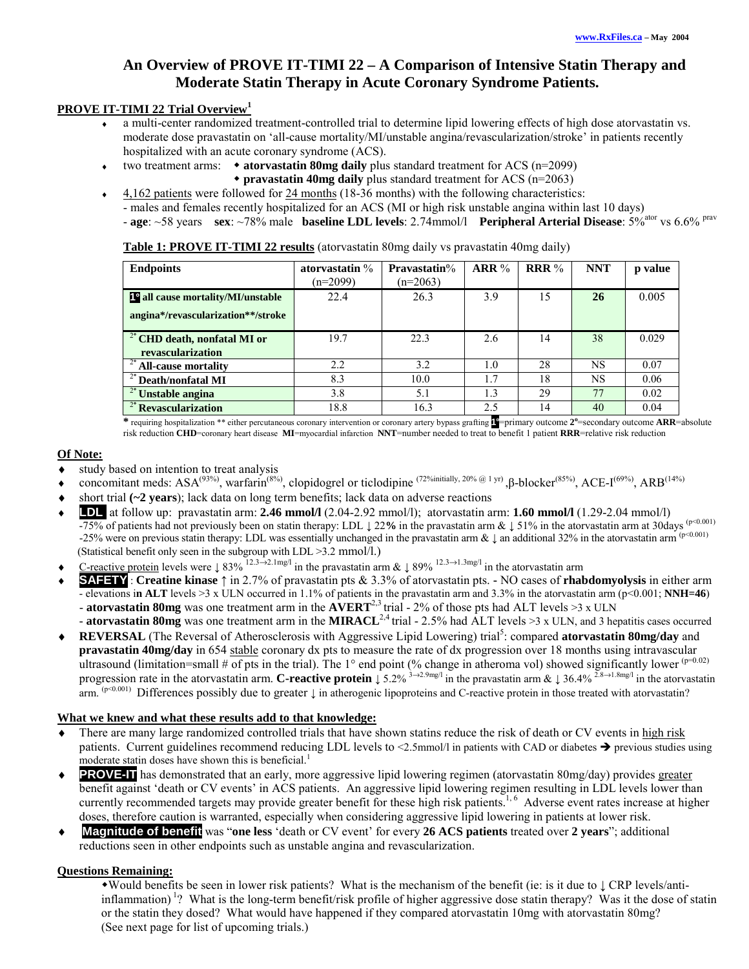# **An Overview of PROVE IT-TIMI 22 – A Comparison of Intensive Statin Therapy and Moderate Statin Therapy in Acute Coronary Syndrome Patients.**

# **PROVE IT-TIMI 22 Trial Overview<sup>1</sup>**

- a multi-center randomized treatment-controlled trial to determine lipid lowering effects of high dose atorvastatin vs. moderate dose pravastatin on 'all-cause mortality/MI/unstable angina/revascularization/stroke' in patients recently hospitalized with an acute coronary syndrome (ACS).
- ♦ two treatment arms: **atorvastatin 80mg daily** plus standard treatment for ACS (n=2099)
	- **pravastatin 40mg daily** plus standard treatment for ACS (n=2063)
	- ♦ 4,162 patients were followed for 24 months (18-36 months) with the following characteristics:
	- males and females recently hospitalized for an ACS (MI or high risk unstable angina within last 10 days)
	- age: ~58 years **sex**: ~78% male **baseline LDL levels**: 2.74mmol/l **Peripheral Arterial Disease**: 5%<sup>ator</sup> vs 6.6% <sup>prav</sup>

|  |  | Table 1: PROVE IT-TIMI 22 results (atorvastatin 80mg daily vs pravastatin 40mg daily) |  |
|--|--|---------------------------------------------------------------------------------------|--|
|--|--|---------------------------------------------------------------------------------------|--|

| <b>Endpoints</b>                                             | atorvastatin $\%$<br>$(n=2099)$ | <b>Pravastatin%</b><br>$(n=2063)$ | ARR% | <b>RRR</b> $%$ | <b>NNT</b> | p value |
|--------------------------------------------------------------|---------------------------------|-----------------------------------|------|----------------|------------|---------|
| 1 <sup>o</sup> all cause mortality/MI/unstable               | 22.4                            | 26.3                              | 3.9  | 15             | 26         | 0.005   |
| angina*/revascularization**/stroke                           |                                 |                                   |      |                |            |         |
| <sup>2°</sup> CHD death, nonfatal MI or<br>revascularization | 19.7                            | 22.3                              | 2.6  | 14             | 38         | 0.029   |
| $\frac{1}{2}$ All-cause mortality                            | 2.2                             | 3.2                               | 1.0  | 28             | NS         | 0.07    |
| $2^{\circ}$ Death/nonfatal MI                                | 8.3                             | 10.0                              | 1.7  | 18             | NS         | 0.06    |
| $\frac{2}{3}$ Unstable angina                                | 3.8                             | 5.1                               | 1.3  | 29             | 77         | 0.02    |
| <sup>2°</sup> Revascularization                              | 18.8                            | 16.3                              | 2.5  | 14             | 40         | 0.04    |

**\*** requiring hospitalization \*\* either percutaneous coronary intervention or coronary artery bypass grafting **1<sup>o</sup>** =primary outcome **2<sup>o</sup>** =secondary outcome **ARR**=absolute risk reduction **CHD**=coronary heart disease **MI**=myocardial infarction **NNT**=number needed to treat to benefit 1 patient **RRR**=relative risk reduction

# **Of Note:**

- study based on intention to treat analysis
- concomitant meds: ASA<sup>(93%)</sup>, warfarin<sup>(8%)</sup>, clopidogrel or ticlodipine <sup>(72%initially, 20% @ 1 yr)</sup>, β-blocker<sup>(85%)</sup>, ACE-I<sup>(69%)</sup>, ARB<sup>(14%)</sup>
- short trial (~2 years); lack data on long term benefits; lack data on adverse reactions
- **LDL** at follow up: pravastatin arm: **2.46 mmol/l** (2.04-2.92 mmol/l); atorvastatin arm: **1.60 mmol/l** (1.29-2.04 mmol/l) -75% of patients had not previously been on statin therapy: LDL ↓ 22**%** in the pravastatin arm & ↓ 51% in the atorvastatin arm at 30days (p<0.001) -25% were on previous statin therapy: LDL was essentially unchanged in the pravastatin arm & ↓ an additional 32% in the atorvastatin arm (p<0.001) (Statistical benefit only seen in the subgroup with LDL >3.2 mmol/l.)
- C-reactive protein levels were  $\downarrow 83\%$ <sup>12.3→2.1mg/l</sup> in the pravastatin arm &  $\downarrow 89\%$ <sup>12.3→1.3mg/l</sup> in the atorvastatin arm
- ♦ **SAFETY** : **Creatine kinase** ↑ in 2.7% of pravastatin pts & 3.3% of atorvastatin pts. **-** NO cases of **rhabdomyolysis** in either arm  $\overline{\text{e}}$  elevations in ALT levels  $\geq$ 3 x ULN occurred in 1.1% of patients in the pravastatin arm and 3.3% in the atorvastatin arm (p < 0.001; **NNH=46**) - **atorvastatin 80mg** was one treatment arm in the **AVERT**2,3 trial - 2% of those pts had ALT levels >3 x ULN
	- **atorvastatin 80mg** was one treatment arm in the **MIRACL**2,4 trial 2.5% had ALT levels >3 x ULN, and 3 hepatitis cases occurred
- ◆ REVERSAL (The Reversal of Atherosclerosis with Aggressive Lipid Lowering) trial<sup>5</sup>: compared atorvastatin 80mg/day and **pravastatin 40mg/day** in 654 stable coronary dx pts to measure the rate of dx progression over 18 months using intravascular ultrasound (limitation=small # of pts in the trial). The 1° end point (% change in atheroma vol) showed significantly lower  $(p=0.02)$ progression rate in the atorvastatin arm. **C-reactive protein** ↓ 5.2% <sup>3→2.9mg/l</sup> in the pravastatin arm & ↓ 36.4% <sup>2.8→1.8mg/l</sup> in the atorvastatin arm. (p<0.001) Differences possibly due to greater ↓ in atherogenic lipoproteins and C-reactive protein in those treated with atorvastatin?

### **What we knew and what these results add to that knowledge:**

- There are many large randomized controlled trials that have shown statins reduce the risk of death or CV events in high risk patients. Current guidelines recommend reducing LDL levels to <2.5mmol/l in patients with CAD or diabetes previous studies using moderate statin doses have shown this is beneficial.<sup>1</sup>
- ♦ **PROVE-IT** has demonstrated that an early, more aggressive lipid lowering regimen (atorvastatin 80mg/day) provides greater benefit against 'death or CV events' in ACS patients. An aggressive lipid lowering regimen resulting in LDL levels lower than currently recommended targets may provide greater benefit for these high risk patients.<sup>1, 6</sup> Adverse event rates increase at higher doses, therefore caution is warranted, especially when considering aggressive lipid lowering in patients at lower risk.
- ♦ **Magnitude of benefit** was "**one less** 'death or CV event' for every **26 ACS patients** treated over **2 years**"; additional reductions seen in other endpoints such as unstable angina and revascularization.

# **Questions Remaining:**

Would benefits be seen in lower risk patients? What is the mechanism of the benefit (ie: is it due to ↓ CRP levels/antiinflammation)<sup>1</sup>? What is the long-term benefit/risk profile of higher aggressive dose statin therapy? Was it the dose of statin or the statin they dosed? What would have happened if they compared atorvastatin 10mg with atorvastatin 80mg? (See next page for list of upcoming trials.)